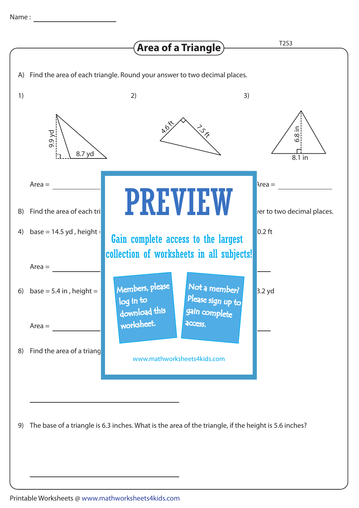